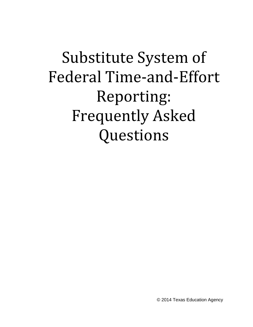# Substitute System of Federal Time-and-Effort Reporting: Frequently Asked Questions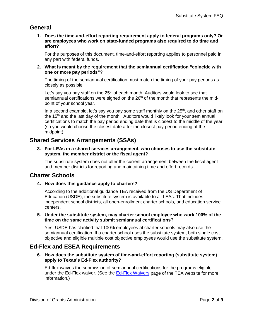# **General**

**1. Does the time-and-effort reporting requirement apply to federal programs only? Or are employees who work on state-funded programs also required to do time and effort?**

For the purposes of this document, time-and-effort reporting applies to personnel paid in any part with federal funds.

**2. What is meant by the requirement that the semiannual certification "coincide with one or more pay periods"?**

The timing of the semiannual certification must match the timing of your pay periods as closely as possible.

Let's say you pay staff on the  $25<sup>th</sup>$  of each month. Auditors would look to see that semiannual certifications were signed on the  $26<sup>th</sup>$  of the month that represents the midpoint of your school year.

In a second example, let's say you pay some staff monthly on the  $25<sup>th</sup>$ , and other staff on the 15<sup>th</sup> and the last day of the month. Auditors would likely look for your semiannual certifications to match the pay period ending date that is closest to the middle of the year (so you would choose the closest date after the closest pay period ending at the midpoint).

# **Shared Services Arrangements (SSAs)**

**3. For LEAs in a shared services arrangement, who chooses to use the substitute system, the member district or the fiscal agent?**

The substitute system does not alter the current arrangement between the fiscal agent and member districts for reporting and maintaining time and effort records.

# **Charter Schools**

**4. How does this guidance apply to charters?** 

According to the additional guidance TEA received from the US Department of Education (USDE), the substitute system is available to all LEAs. That includes independent school districts, all open-enrollment charter schools, and education service centers.

**5. Under the substitute system, may charter school employee who work 100% of the time on the same activity submit semiannual certifications?**

Yes, USDE has clarified that 100% employees at charter schools may also use the semiannual certification. If a charter school uses the substitute system, both single cost objective and eligible multiple cost objective employees would use the substitute system.

# **Ed-Flex and ESEA Requirements**

**6. How does the substitute system of time-and-effort reporting (substitute system) apply to Texas's Ed-Flex authority?**

Ed-flex waives the submission of semiannual certifications for the programs eligible under the Ed-Flex waiver. (See the [Ed-Flex Waivers](http://www.tea.state.tx.us/index4.aspx?id=4222&menu_id=2147483742) page of the TEA website for more information.)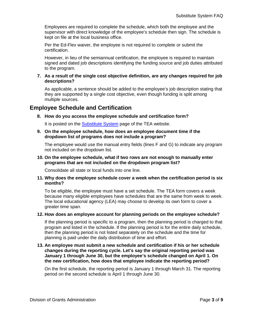Employees are required to complete the schedule, which both the employee and the supervisor with direct knowledge of the employee's schedule then sign. The schedule is kept on file at the local business office.

Per the Ed-Flex waiver, the employee is not required to complete or submit the certification.

However, in lieu of the semiannual certification, the employee is required to maintain signed and dated job descriptions identifying the funding source and job duties attributed to the program.

#### **7. As a result of the single cost objective definition, are any changes required for job descriptions?**

As applicable, a sentence should be added to the employee's job description stating that they are supported by a single cost objective, even though funding is split among multiple sources.

## **Employee Schedule and Certification**

#### **8. How do you access the employee schedule and certification form?**

It is posted on the [Substitute System](http://www.tea.state.tx.us/index2.aspx?id=2147510385) page of the TEA website.

#### **9. On the employee schedule, how does an employee document time if the dropdown list of programs does not include a program?**

The employee would use the manual entry fields (lines F and G) to indicate any program not included on the dropdown list.

#### **10. On the employee schedule, what if two rows are not enough to manually enter programs that are not included on the dropdown program list?**

Consolidate all state or local funds into one line.

#### **11. Why does the employee schedule cover a week when the certification period is six months?**

To be eligible, the employee must have a set schedule. The TEA form covers a week because many eligible employees have schedules that are the same from week to week. The local educational agency (LEA) may choose to develop its own form to cover a greater time span.

#### **12. How does an employee account for planning periods on the employee schedule?**

If the planning period is specific to a program, then the planning period is charged to that program and listed in the schedule. If the planning period is for the entire daily schedule, then the planning period is not listed separately on the schedule and the time for planning is paid under the daily distribution of time and effort.

#### **13. An employee must submit a new schedule and certification if his or her schedule changes during the reporting cycle. Let's say the original reporting period was January 1 through June 30, but the employee's schedule changed on April 1. On the new certification, how does that employee indicate the reporting period?**

On the first schedule, the reporting period is January 1 through March 31. The reporting period on the second schedule is April 1 through June 30.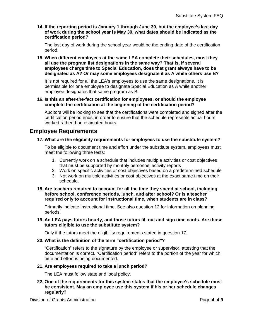**14. If the reporting period is January 1 through June 30, but the employee's last day of work during the school year is May 30, what dates should be indicated as the certification period?** 

The last day of work during the school year would be the ending date of the certification period.

**15. When different employees at the same LEA complete their schedules, must they all use the program list designations in the same way? That is, if several employees charge time to Special Education, does that grant always have to be designated as A? Or may some employees designate it as A while others use B?**

It is not required for all the LEA's employees to use the same designations. It is permissible for one employee to designate Special Education as A while another employee designates that same program as B.

#### **16. Is this an after-the-fact certification for employees, or should the employee complete the certification at the beginning of the certification period?**

Auditors will be looking to see that the certifications were completed and signed after the certification period ends, in order to ensure that the schedule represents actual hours worked rather than estimated hours.

# **Employee Requirements**

## **17. What are the eligibility requirements for employees to use the substitute system?**

To be eligible to document time and effort under the substitute system, employees must meet the following three tests:

- 1. Currently work on a schedule that includes multiple activities or cost objectives that must be supported by monthly personnel activity reports
- 2. Work on specific activities or cost objectives based on a predetermined schedule
- 3. Not work on multiple activities or cost objectives at the exact same time on their schedule.
- **18. Are teachers required to account for all the time they spend at school, including before school, conference periods, lunch, and after school? Or is a teacher required only to account for instructional time, when students are in class?**

Primarily indicate instructional time. See also question 12 for information on planning periods.

### **19. An LEA pays tutors hourly, and those tutors fill out and sign time cards. Are those tutors eligible to use the substitute system?**

Only if the tutors meet the eligibility requirements stated in question 17.

#### **20. What is the definition of the term "certification period"?**

"Certification" refers to the signature by the employee or supervisor, attesting that the documentation is correct. "Certification period" refers to the portion of the year for which time and effort is being documented.

#### **21. Are employees required to take a lunch period?**

The LEA must follow state and local policy.

**22. One of the requirements for this system states that the employee's schedule must be consistent. May an employee use this system if his or her schedule changes regularly?**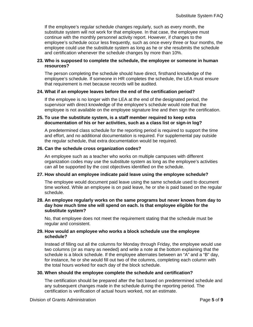If the employee's regular schedule changes regularly, such as every month, the substitute system will not work for that employee. In that case, the employee must continue with the monthly personnel activity report. However, if changes to the employee's schedule occur less frequently, such as once every three or four months, the employee could use the substitute system as long as he or she resubmits the schedule and certification whenever the schedule changes by more than 10%.

#### **23. Who is supposed to complete the schedule, the employee or someone in human resources?**

The person completing the schedule should have direct, firsthand knowledge of the employee's schedule. If someone in HR completes the schedule, the LEA must ensure that requirement is met because records will be audited.

#### **24. What if an employee leaves before the end of the certification period?**

If the employee is no longer with the LEA at the end of the designated period, the supervisor with direct knowledge of the employee's schedule would note that the employee is not available on the employee signature line and then sign the certification.

#### **25. To use the substitute system, is a staff member required to keep extra documentation of his or her activities, such as a class list or sign-in log?**

A predetermined class schedule for the reporting period is required to support the time and effort, and no additional documentation is required. For supplemental pay outside the regular schedule, that extra documentation would be required.

#### **26. Can the schedule cross organization codes?**

An employee such as a teacher who works on multiple campuses with different organization codes may use the substitute system as long as the employee's activities can all be supported by the cost objectives identified on the schedule.

## **27. How should an employee indicate paid leave using the employee schedule?**

The employee would document paid leave using the same schedule used to document time worked. While an employee is on paid leave, he or she is paid based on the regular schedule.

#### **28. An employee regularly works on the same programs but never knows from day to day how much time she will spend on each. Is that employee eligible for the substitute system?**

No, that employee does not meet the requirement stating that the schedule must be regular and consistent.

#### **29. How would an employee who works a block schedule use the employee schedule?**

Instead of filling out all the columns for Monday through Friday, the employee would use two columns (or as many as needed) and write a note at the bottom explaining that the schedule is a block schedule. If the employee alternates between an "A" and a "B" day, for instance, he or she would fill out two of the columns, completing each column with the total hours worked for each day of the block schedule.

#### **30. When should the employee complete the schedule and certification?**

The certification should be prepared after the fact based on predetermined schedule and any subsequent changes made in the schedule during the reporting period. The certification is verification of actual hours worked, not an estimate.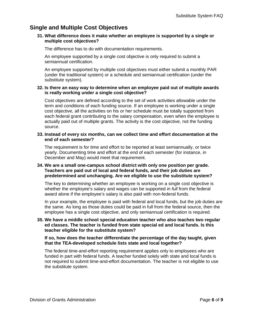# **Single and Multiple Cost Objectives**

### **31. What difference does it make whether an employee is supported by a single or multiple cost objectives?**

The difference has to do with documentation requirements.

An employee supported by a single cost objective is only required to submit a semiannual certification.

An employee supported by multiple cost objectives must either submit a monthly PAR (under the traditional system) or a schedule and semiannual certification (under the substitute system).

### **32. Is there an easy way to determine when an employee paid out of multiple awards is really working under a single cost objective?**

Cost objectives are defined according to the set of work activities allowable under the term and conditions of each funding source. If an employee is working under a single cost objective, all the activities on his or her schedule must be totally supported from each federal grant contributing to the salary compensation, even when the employee is actually paid out of multiple grants. The activity is the cost objective, not the funding source.

#### **33. Instead of every six months, can we collect time and effort documentation at the end of each semester?**

The requirement is for time and effort to be reported at least semiannually, or twice yearly. Documenting time and effort at the end of each semester (for instance, in December and May) would meet that requirement.

#### **34. We are a small one-campus school district with only one position per grade. Teachers are paid out of local and federal funds, and their job duties are predetermined and unchanging. Are we eligible to use the substitute system?**

The key to determining whether an employee is working on a single cost objective is whether the employee's salary and wages can be supported *in full* from the federal award alone if the employee's salary is also paid with non-federal funds.

In your example, the employee is paid with federal and local funds, but the job duties are the same. As long as those duties could be paid in full from the federal source, then the employee has a single cost objective, and only semiannual certification is required.

#### **35. We have a middle school special education teacher who also teaches two regular ed classes. The teacher is funded from state special ed and local funds. Is this teacher eligible for the substitute system?**

**If so, how does the teacher differentiate the percentage of the day taught, given that the TEA-developed schedule lists state and local together?**

The federal time-and-effort reporting requirement applies only to employees who are funded in part with federal funds. A teacher funded solely with state and local funds is not required to submit time-and-effort documentation. The teacher is not eligible to use the substitute system.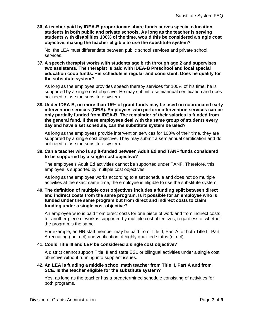**36. A teacher paid by IDEA-B proportionate share funds serves special education students in both public and private schools. As long as the teacher is serving students with disabilities 100% of the time, would this be considered a single cost objective, making the teacher eligible to use the substitute system?**

No, the LEA must differentiate between public school services and private school services.

**37. A speech therapist works with students age birth through age 2 and supervises two assistants. The therapist is paid with IDEA-B Preschool and local special education coop funds. His schedule is regular and consistent. Does he qualify for the substitute system?**

As long as the employee provides speech therapy services for 100% of his time, he is supported by a single cost objective. He may submit a semiannual certification and does not need to use the substitute system.

**38. Under IDEA-B, no more than 15% of grant funds may be used on coordinated early intervention services (CEIS). Employees who perform intervention services can be only partially funded from IDEA-B. The remainder of their salaries is funded from the general fund. If these employees deal with the same group of students every day and have a set schedule, can the substitute system be used?** 

As long as the employees provide intervention services for 100% of their time, they are supported by a single cost objective. They may submit a semiannual certification and do not need to use the substitute system.

#### **39. Can a teacher who is split-funded between Adult Ed and TANF funds considered to be supported by a single cost objective?**

The employee's Adult Ed activities cannot be supported under TANF. Therefore, this employee is supported by multiple cost objectives.

As long as the employee works according to a set schedule and does not do multiple activities at the exact same time, the employee is eligible to use the substitute system.

#### **40. The definition of multiple cost objectives includes a funding split between direct and indirect costs from the same program. Is it possible for an employee who is funded under the same program but from direct and indirect costs to claim funding under a single cost objective?**

An employee who is paid from direct costs for one piece of work and from indirect costs for another piece of work is supported by multiple cost objectives, regardless of whether the program is the same.

For example, an HR staff member may be paid from Title II, Part A for both Title II, Part A recruiting (indirect) and verification of highly qualified status (direct).

#### **41. Could Title III and LEP be considered a single cost objective?**

A district cannot support Title III and state ESL or bilingual activities under a single cost objective without running into supplant issues.

#### **42. An LEA is funding a middle school math teacher from Title II, Part A and from SCE. Is the teacher eligible for the substitute system?**

Yes, as long as the teacher has a predetermined schedule consisting of activities for both programs.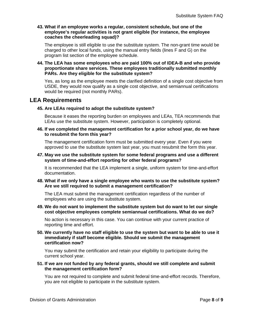#### **43. What if an employee works a regular, consistent schedule, but one of the employee's regular activities is not grant eligible (for instance, the employee coaches the cheerleading squad)?**

The employee is still eligible to use the substitute system. The non-grant time would be charged to other local funds, using the manual entry fields (lines F and G) on the program list section of the employee schedule.

#### **44. The LEA has some employees who are paid 100% out of IDEA-B and who provide proportionate share services. These employees traditionally submitted monthly PARs. Are they eligible for the substitute system?**

Yes, as long as the employee meets the clarified definition of a single cost objective from USDE, they would now qualify as a single cost objective, and semiannual certifications would be required (not monthly PARs).

## **LEA Requirements**

## **45. Are LEAs required to adopt the substitute system?**

Because it eases the reporting burden on employees and LEAs, TEA recommends that LEAs use the substitute system. However, participation is completely optional.

**46. If we completed the management certification for a prior school year, do we have to resubmit the form this year?**

The management certification form must be submitted every year. Even if you were approved to use the substitute system last year, you must resubmit the form this year.

#### **47. May we use the substitute system for some federal programs and use a different system of time-and-effort reporting for other federal programs?**

It is recommended that the LEA implement a single, uniform system for time-and-effort documentation.

### **48. What if we only have a single employee who wants to use the substitute system? Are we still required to submit a management certification?**

The LEA must submit the management certification regardless of the number of employees who are using the substitute system.

#### **49. We do not want to implement the substitute system but do want to let our single cost objective employees complete semiannual certifications. What do we do?**

No action is necessary in this case. You can continue with your current practice of reporting time and effort.

#### **50. We currently have no staff eligible to use the system but want to be able to use it immediately if staff become eligible. Should we submit the management certification now?**

You may submit the certification and retain your eligibility to participate during the current school year.

#### **51. If we are not funded by any federal grants, should we still complete and submit the management certification form?**

You are not required to complete and submit federal time-and-effort records. Therefore, you are not eligible to participate in the substitute system.